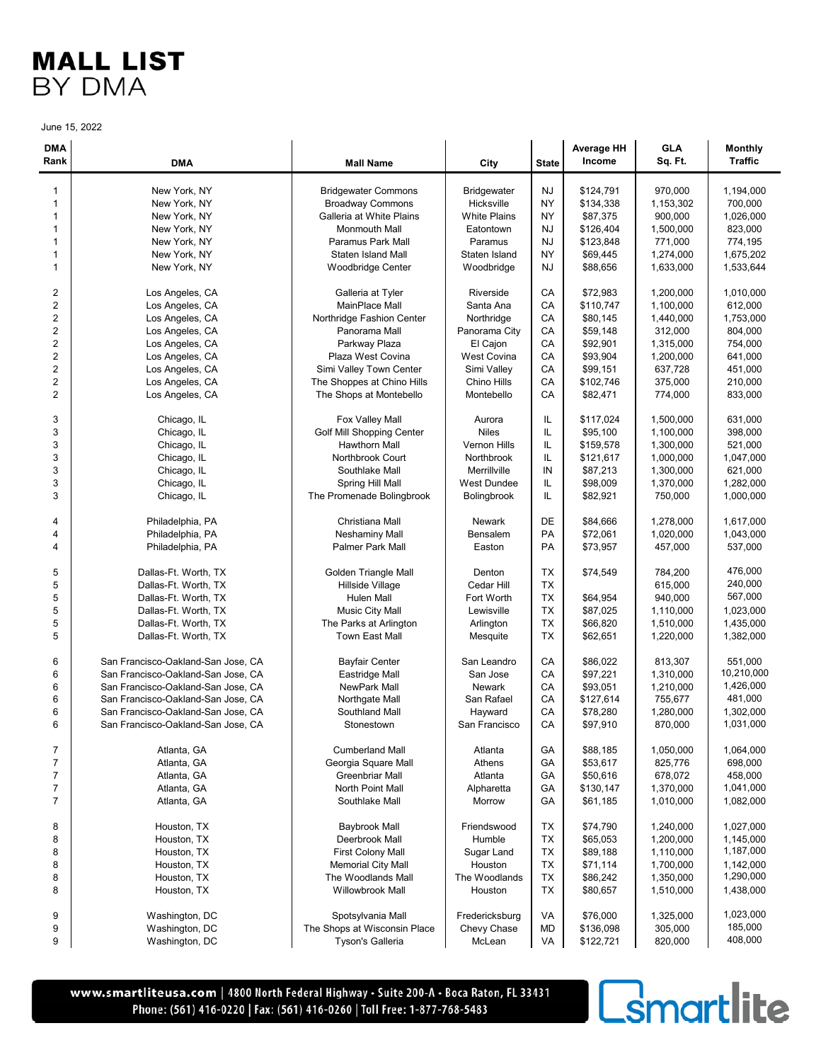June 15, 2022

| <b>DMA</b><br>Rank      | <b>DMA</b>                         | <b>Mall Name</b>             | City                | <b>State</b> | <b>Average HH</b><br>Income | <b>GLA</b><br>Sq. Ft. | <b>Monthly</b><br><b>Traffic</b> |
|-------------------------|------------------------------------|------------------------------|---------------------|--------------|-----------------------------|-----------------------|----------------------------------|
| 1                       | New York, NY                       | <b>Bridgewater Commons</b>   | Bridgewater         | <b>NJ</b>    | \$124,791                   | 970,000               | 1,194,000                        |
| $\mathbf{1}$            | New York, NY                       | <b>Broadway Commons</b>      | Hicksville          | NY           | \$134,338                   | 1,153,302             | 700,000                          |
| $\mathbf{1}$            | New York, NY                       | Galleria at White Plains     | <b>White Plains</b> | NΥ           | \$87,375                    | 900,000               | 1,026,000                        |
| 1                       | New York, NY                       | Monmouth Mall                | Eatontown           | <b>NJ</b>    | \$126,404                   | 1,500,000             | 823,000                          |
| $\mathbf{1}$            | New York, NY                       | Paramus Park Mall            | Paramus             | <b>NJ</b>    | \$123,848                   | 771,000               | 774,195                          |
| $\mathbf{1}$            | New York, NY                       | Staten Island Mall           | Staten Island       | NΥ           | \$69,445                    | 1,274,000             | 1,675,202                        |
| $\mathbf{1}$            | New York, NY                       | Woodbridge Center            | Woodbridge          | <b>NJ</b>    | \$88,656                    | 1,633,000             | 1,533,644                        |
| 2                       | Los Angeles, CA                    | Galleria at Tyler            | Riverside           | СA           | \$72,983                    | 1,200,000             | 1,010,000                        |
| $\overline{c}$          | Los Angeles, CA                    | MainPlace Mall               | Santa Ana           | СA           | \$110,747                   | 1,100,000             | 612,000                          |
| $\overline{c}$          | Los Angeles, CA                    | Northridge Fashion Center    | Northridge          | CA           | \$80,145                    | 1,440,000             | 1.753.000                        |
| $\overline{c}$          | Los Angeles, CA                    | Panorama Mall                | Panorama City       | СA           | \$59,148                    | 312,000               | 804,000                          |
| $\overline{\mathbf{c}}$ | Los Angeles, CA                    | Parkway Plaza                | El Cajon            | СA           | \$92,901                    | 1,315,000             | 754,000                          |
| $\overline{c}$          | Los Angeles, CA                    | Plaza West Covina            | <b>West Covina</b>  | CA           | \$93,904                    | 1,200,000             | 641,000                          |
| $\mathbf 2$             | Los Angeles, CA                    | Simi Valley Town Center      | Simi Valley         | CA           | \$99,151                    | 637,728               | 451,000                          |
| $\overline{2}$          | Los Angeles, CA                    | The Shoppes at Chino Hills   | Chino Hills         | СA           | \$102,746                   | 375,000               | 210,000                          |
| $\overline{2}$          | Los Angeles, CA                    | The Shops at Montebello      | Montebello          | СA           | \$82,471                    | 774,000               | 833,000                          |
| 3                       | Chicago, IL                        | Fox Valley Mall              | Aurora              | IL           | \$117,024                   | 1,500,000             | 631,000                          |
| 3                       | Chicago, IL                        | Golf Mill Shopping Center    | <b>Niles</b>        | IL           | \$95,100                    | 1,100,000             | 398,000                          |
| 3                       | Chicago, IL                        | Hawthorn Mall                | Vernon Hills        | IL           | \$159,578                   | 1,300,000             | 521,000                          |
| 3                       | Chicago, IL                        | Northbrook Court             | Northbrook          | IL           | \$121,617                   | 1,000,000             | 1,047,000                        |
| 3                       | Chicago, IL                        | Southlake Mall               | Merrillville        | IN           | \$87,213                    | 1,300,000             | 621,000                          |
| 3                       | Chicago, IL                        | Spring Hill Mall             | <b>West Dundee</b>  | IL           | \$98,009                    | 1,370,000             | 1,282,000                        |
| 3                       | Chicago, IL                        | The Promenade Bolingbrook    | <b>Bolingbrook</b>  | IL           | \$82,921                    | 750,000               | 1,000,000                        |
| 4                       | Philadelphia, PA                   | Christiana Mall              | Newark              | DE           | \$84,666                    | 1,278,000             | 1,617,000                        |
| 4                       | Philadelphia, PA                   | <b>Neshaminy Mall</b>        | Bensalem            | PA           | \$72,061                    | 1,020,000             | 1,043,000                        |
| $\overline{4}$          | Philadelphia, PA                   | <b>Palmer Park Mall</b>      | Easton              | PA           | \$73,957                    | 457,000               | 537,000                          |
| 5                       | Dallas-Ft. Worth, TX               | <b>Golden Triangle Mall</b>  | Denton              | ТX           | \$74,549                    | 784,200               | 476,000                          |
| 5                       | Dallas-Ft. Worth, TX               | Hillside Village             | Cedar Hill          | <b>TX</b>    |                             | 615,000               | 240,000                          |
| 5                       | Dallas-Ft. Worth, TX               | Hulen Mall                   | Fort Worth          | ТX           | \$64,954                    | 940,000               | 567,000                          |
| 5                       | Dallas-Ft. Worth, TX               | Music City Mall              | Lewisville          | ТX           | \$87,025                    | 1,110,000             | 1,023,000                        |
| 5                       | Dallas-Ft. Worth, TX               | The Parks at Arlington       | Arlington           | ТX           | \$66,820                    | 1,510,000             | 1,435,000                        |
| 5                       | Dallas-Ft. Worth, TX               | <b>Town East Mall</b>        | Mesquite            | ТX           | \$62,651                    | 1,220,000             | 1,382,000                        |
| 6                       | San Francisco-Oakland-San Jose, CA | <b>Bayfair Center</b>        | San Leandro         | СA           | \$86,022                    | 813,307               | 551,000                          |
| 6                       | San Francisco-Oakland-San Jose, CA | Eastridge Mall               | San Jose            | CA           | \$97,221                    | 1,310,000             | 10,210,000                       |
| 6                       | San Francisco-Oakland-San Jose, CA | NewPark Mall                 | Newark              | СA           | \$93,051                    | 1,210,000             | 1,426,000                        |
| 6                       | San Francisco-Oakland-San Jose, CA | Northgate Mall               | San Rafael          | СA           | \$127,614                   | 755,677               | 481,000                          |
| 6                       | San Francisco-Oakland-San Jose, CA | Southland Mall               | Hayward             | СA           | \$78,280                    | 1,280,000             | 1,302,000                        |
| 6                       | San Francisco-Oakland-San Jose, CA | Stonestown                   | San Francisco       | СA           | \$97,910                    | 870,000               | 1,031,000                        |
| 7                       | Atlanta, GA                        | <b>Cumberland Mall</b>       | Atlanta             | GA           | \$88,185                    | 1,050,000             | 1,064,000                        |
| $\overline{7}$          | Atlanta, GA                        | Georgia Square Mall          | Athens              | GА           | \$53,617                    | 825,776               | 698,000                          |
| $\overline{7}$          | Atlanta, GA                        | Greenbriar Mall              | Atlanta             | GА           | \$50,616                    | 678,072               | 458,000                          |
| $\overline{7}$          | Atlanta, GA                        | North Point Mall             | Alpharetta          | GА           | \$130,147                   | 1,370,000             | 1,041,000                        |
| $\overline{7}$          | Atlanta, GA                        | Southlake Mall               | Morrow              | GA           | \$61,185                    | 1,010,000             | 1,082,000                        |
| 8                       | Houston, TX                        | Baybrook Mall                | Friendswood         | ТX           | \$74,790                    | 1,240,000             | 1,027,000                        |
| 8                       | Houston, TX                        | Deerbrook Mall               | Humble              | TX           | \$65,053                    | 1,200,000             | 1,145,000                        |
| 8                       | Houston, TX                        | First Colony Mall            | Sugar Land          | TX           | \$89,188                    | 1,110,000             | 1,187,000                        |
| 8                       | Houston, TX                        | <b>Memorial City Mall</b>    | Houston             | ТX           | \$71,114                    | 1,700,000             | 1,142,000                        |
| 8                       | Houston, TX                        | The Woodlands Mall           | The Woodlands       | TX           | \$86,242                    | 1,350,000             | 1,290,000                        |
| 8                       | Houston, TX                        | Willowbrook Mall             | Houston             | TX           | \$80,657                    | 1,510,000             | 1,438,000                        |
| 9                       | Washington, DC                     | Spotsylvania Mall            | Fredericksburg      | VA           | \$76,000                    | 1,325,000             | 1,023,000                        |
| 9                       | Washington, DC                     | The Shops at Wisconsin Place | Chevy Chase         | MD           | \$136,098                   | 305,000               | 185,000                          |
| 9                       | Washington, DC                     | Tyson's Galleria             | McLean              | VA           | \$122,721                   | 820,000               | 408,000                          |

www.smartliteusa.com | 4800 North Federal Highway · Suite 200-A · Boca Raton, FL 33431 Phone: (561) 416-0220 | Fax: (561) 416-0260 | Toll Free: 1-877-768-5483

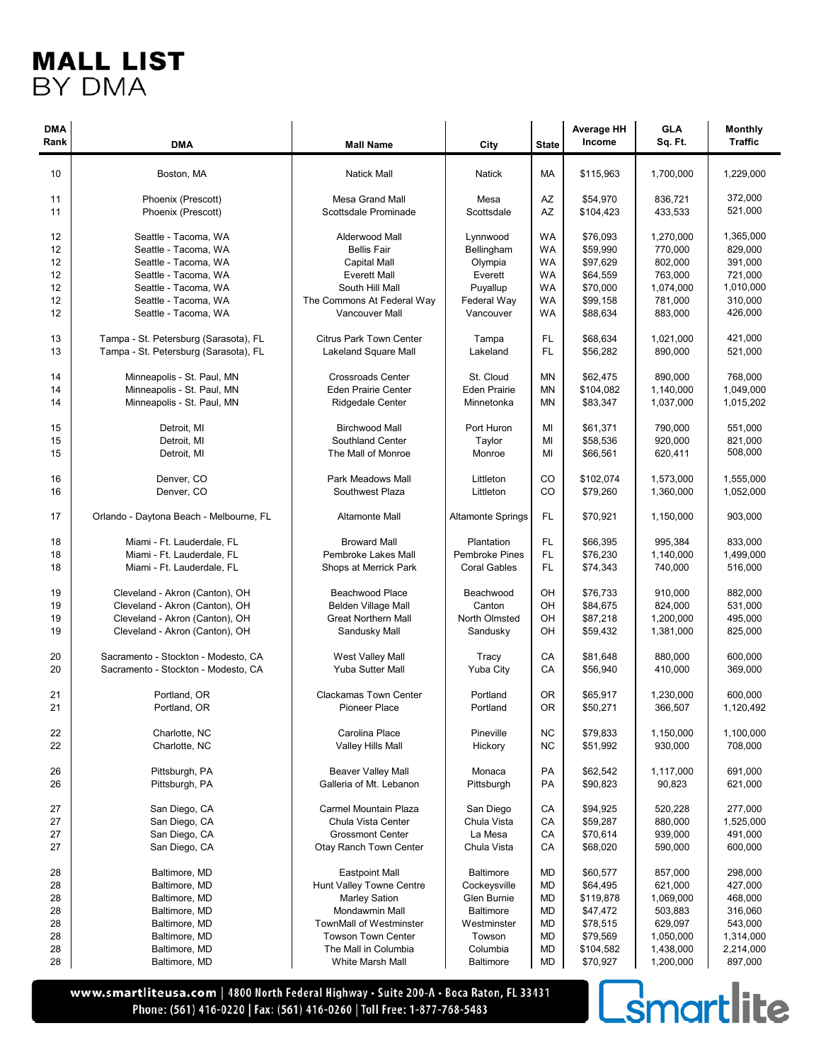| <b>DMA</b><br>Rank                     | <b>DMA</b>                                                                                                                                                           | <b>Mall Name</b>                                                                                                                                             | City                                                                                 | <b>State</b>                                  | <b>Average HH</b><br>Income                                                      | <b>GLA</b><br>Sq. Ft.                                                         | <b>Monthly</b><br><b>Traffic</b>                                              |
|----------------------------------------|----------------------------------------------------------------------------------------------------------------------------------------------------------------------|--------------------------------------------------------------------------------------------------------------------------------------------------------------|--------------------------------------------------------------------------------------|-----------------------------------------------|----------------------------------------------------------------------------------|-------------------------------------------------------------------------------|-------------------------------------------------------------------------------|
| 10                                     | Boston, MA                                                                                                                                                           | <b>Natick Mall</b>                                                                                                                                           | Natick                                                                               | МA                                            | \$115,963                                                                        | 1,700,000                                                                     | 1,229,000                                                                     |
| 11<br>11                               | Phoenix (Prescott)<br>Phoenix (Prescott)                                                                                                                             | <b>Mesa Grand Mall</b><br>Scottsdale Prominade                                                                                                               | Mesa<br>Scottsdale                                                                   | AZ<br>AZ                                      | \$54,970<br>\$104,423                                                            | 836,721<br>433,533                                                            | 372,000<br>521,000                                                            |
| 12<br>12<br>12<br>12<br>12<br>12<br>12 | Seattle - Tacoma, WA<br>Seattle - Tacoma, WA<br>Seattle - Tacoma, WA<br>Seattle - Tacoma, WA<br>Seattle - Tacoma, WA<br>Seattle - Tacoma, WA<br>Seattle - Tacoma, WA | Alderwood Mall<br><b>Bellis Fair</b><br><b>Capital Mall</b><br><b>Everett Mall</b><br>South Hill Mall<br>The Commons At Federal Way<br><b>Vancouver Mall</b> | Lynnwood<br>Bellingham<br>Olympia<br>Everett<br>Puyallup<br>Federal Way<br>Vancouver | WA<br>WA<br>WA<br>WA<br>WA<br>WA<br><b>WA</b> | \$76,093<br>\$59,990<br>\$97,629<br>\$64,559<br>\$70,000<br>\$99,158<br>\$88,634 | 1,270,000<br>770,000<br>802,000<br>763,000<br>1,074,000<br>781,000<br>883,000 | 1,365,000<br>829,000<br>391,000<br>721,000<br>1,010,000<br>310,000<br>426,000 |
| 13<br>13                               | Tampa - St. Petersburg (Sarasota), FL<br>Tampa - St. Petersburg (Sarasota), FL                                                                                       | <b>Citrus Park Town Center</b><br>Lakeland Square Mall                                                                                                       | Tampa<br>Lakeland                                                                    | FL<br>FL                                      | \$68,634<br>\$56,282                                                             | 1,021,000<br>890,000                                                          | 421,000<br>521,000                                                            |
| 14<br>14<br>14                         | Minneapolis - St. Paul, MN<br>Minneapolis - St. Paul, MN<br>Minneapolis - St. Paul, MN                                                                               | <b>Crossroads Center</b><br><b>Eden Prairie Center</b><br><b>Ridgedale Center</b>                                                                            | St. Cloud<br><b>Eden Prairie</b><br>Minnetonka                                       | <b>MN</b><br><b>MN</b><br><b>MN</b>           | \$62,475<br>\$104,082<br>\$83,347                                                | 890,000<br>1,140,000<br>1,037,000                                             | 768,000<br>1,049,000<br>1,015,202                                             |
| 15<br>15<br>15                         | Detroit, MI<br>Detroit, MI<br>Detroit, MI                                                                                                                            | <b>Birchwood Mall</b><br><b>Southland Center</b><br>The Mall of Monroe                                                                                       | Port Huron<br>Taylor<br>Monroe                                                       | MI<br>MI<br>MI                                | \$61,371<br>\$58,536<br>\$66,561                                                 | 790,000<br>920,000<br>620,411                                                 | 551,000<br>821,000<br>508,000                                                 |
| 16<br>16                               | Denver, CO<br>Denver, CO                                                                                                                                             | Park Meadows Mall<br>Southwest Plaza                                                                                                                         | Littleton<br>Littleton                                                               | CO<br>CO                                      | \$102,074<br>\$79,260                                                            | 1,573,000<br>1,360,000                                                        | 1,555,000<br>1,052,000                                                        |
| 17                                     | Orlando - Daytona Beach - Melbourne, FL                                                                                                                              | <b>Altamonte Mall</b>                                                                                                                                        | <b>Altamonte Springs</b>                                                             | FL                                            | \$70,921                                                                         | 1,150,000                                                                     | 903,000                                                                       |
| 18                                     | Miami - Ft. Lauderdale, FL                                                                                                                                           | <b>Broward Mall</b>                                                                                                                                          | Plantation                                                                           | FL                                            | \$66,395                                                                         | 995,384                                                                       | 833,000                                                                       |
| 18<br>18                               | Miami - Ft. Lauderdale, FL<br>Miami - Ft. Lauderdale, FL                                                                                                             | Pembroke Lakes Mall<br>Shops at Merrick Park                                                                                                                 | Pembroke Pines<br><b>Coral Gables</b>                                                | FL<br>FL                                      | \$76,230<br>\$74,343                                                             | 1,140,000<br>740,000                                                          | 1,499,000<br>516,000                                                          |
| 19                                     | Cleveland - Akron (Canton), OH                                                                                                                                       | Beachwood Place                                                                                                                                              | Beachwood                                                                            | OH                                            | \$76,733                                                                         | 910,000                                                                       | 882,000                                                                       |
| 19                                     | Cleveland - Akron (Canton), OH                                                                                                                                       | <b>Belden Village Mall</b>                                                                                                                                   | Canton                                                                               | OH                                            | \$84,675                                                                         | 824,000                                                                       | 531,000                                                                       |
| 19                                     | Cleveland - Akron (Canton), OH                                                                                                                                       | <b>Great Northern Mall</b>                                                                                                                                   | North Olmsted                                                                        | OH                                            | \$87,218                                                                         | 1,200,000                                                                     | 495,000                                                                       |
| 19                                     | Cleveland - Akron (Canton), OH                                                                                                                                       | Sandusky Mall                                                                                                                                                | Sandusky                                                                             | OH                                            | \$59,432                                                                         | 1,381,000                                                                     | 825,000                                                                       |
| 20<br>20                               | Sacramento - Stockton - Modesto, CA<br>Sacramento - Stockton - Modesto, CA                                                                                           | West Valley Mall<br>Yuba Sutter Mall                                                                                                                         | Tracy<br>Yuba City                                                                   | CA<br>CA                                      | \$81,648<br>\$56,940                                                             | 880,000<br>410,000                                                            | 600.000<br>369.000                                                            |
| 21<br>21                               | Portland, OR<br>Portland, OR                                                                                                                                         | <b>Clackamas Town Center</b><br><b>Pioneer Place</b>                                                                                                         | Portland<br>Portland                                                                 | 0R<br>0R                                      | \$65,917<br>\$50,271                                                             | 1,230,000<br>366.507                                                          | 600,000<br>1,120,492                                                          |
| 22<br>22                               | Charlotte, NC<br>Charlotte, NC                                                                                                                                       | Carolina Place<br>Valley Hills Mall                                                                                                                          | Pineville<br>Hickory                                                                 | <b>NC</b><br><b>NC</b>                        | \$79.833<br>\$51,992                                                             | 1,150,000<br>930,000                                                          | 1,100,000<br>708.000                                                          |
| 26<br>26                               | Pittsburgh, PA<br>Pittsburgh, PA                                                                                                                                     | <b>Beaver Valley Mall</b><br>Galleria of Mt. Lebanon                                                                                                         | Monaca<br>Pittsburgh                                                                 | PA<br>PA                                      | \$62,542<br>\$90,823                                                             | 1,117,000<br>90,823                                                           | 691,000<br>621,000                                                            |
| 27                                     | San Diego, CA                                                                                                                                                        | Carmel Mountain Plaza                                                                                                                                        | San Diego                                                                            | CA                                            | \$94,925                                                                         | 520,228                                                                       | 277,000                                                                       |
| 27                                     | San Diego, CA                                                                                                                                                        | Chula Vista Center                                                                                                                                           | Chula Vista                                                                          | CA                                            | \$59,287                                                                         | 880,000                                                                       | 1,525,000                                                                     |
| 27                                     | San Diego, CA                                                                                                                                                        | <b>Grossmont Center</b>                                                                                                                                      | La Mesa                                                                              | CA                                            | \$70,614                                                                         | 939,000                                                                       | 491,000                                                                       |
| 27                                     | San Diego, CA                                                                                                                                                        | Otay Ranch Town Center                                                                                                                                       | Chula Vista                                                                          | CA                                            | \$68,020                                                                         | 590,000                                                                       | 600,000                                                                       |
| 28                                     | Baltimore, MD                                                                                                                                                        | <b>Eastpoint Mall</b>                                                                                                                                        | <b>Baltimore</b>                                                                     | MD                                            | \$60,577                                                                         | 857,000                                                                       | 298,000                                                                       |
| 28                                     | Baltimore, MD                                                                                                                                                        | Hunt Valley Towne Centre                                                                                                                                     | Cockeysville                                                                         | MD                                            | \$64,495                                                                         | 621,000                                                                       | 427,000                                                                       |
| 28                                     | Baltimore, MD                                                                                                                                                        | <b>Marley Sation</b>                                                                                                                                         | Glen Burnie                                                                          | MD                                            | \$119,878                                                                        | 1,069,000                                                                     | 468,000                                                                       |
| 28<br>28                               | Baltimore, MD                                                                                                                                                        | <b>Mondawmin Mall</b>                                                                                                                                        | <b>Baltimore</b>                                                                     | MD                                            | \$47,472                                                                         | 503,883                                                                       | 316,060                                                                       |
| 28                                     | Baltimore, MD<br>Baltimore, MD                                                                                                                                       | <b>TownMall of Westminster</b><br><b>Towson Town Center</b>                                                                                                  | Westminster<br>Towson                                                                | MD<br>MD                                      | \$78,515<br>\$79,569                                                             | 629,097<br>1,050,000                                                          | 543,000<br>1,314,000                                                          |
| 28                                     | Baltimore, MD                                                                                                                                                        | The Mall in Columbia                                                                                                                                         | Columbia                                                                             | MD                                            | \$104,582                                                                        | 1,438,000                                                                     | 2,214,000                                                                     |
| 28                                     | Baltimore, MD                                                                                                                                                        | White Marsh Mall                                                                                                                                             | Baltimore                                                                            | MD                                            | \$70,927                                                                         | 1,200,000                                                                     | 897,000                                                                       |

www.smartliteusa.com | 4800 North Federal Highway · Suite 200-A · Boca Raton, FL 33431 Phone: (561) 416-0220 | Fax: (561) 416-0260 | Toll Free: 1-877-768-5483

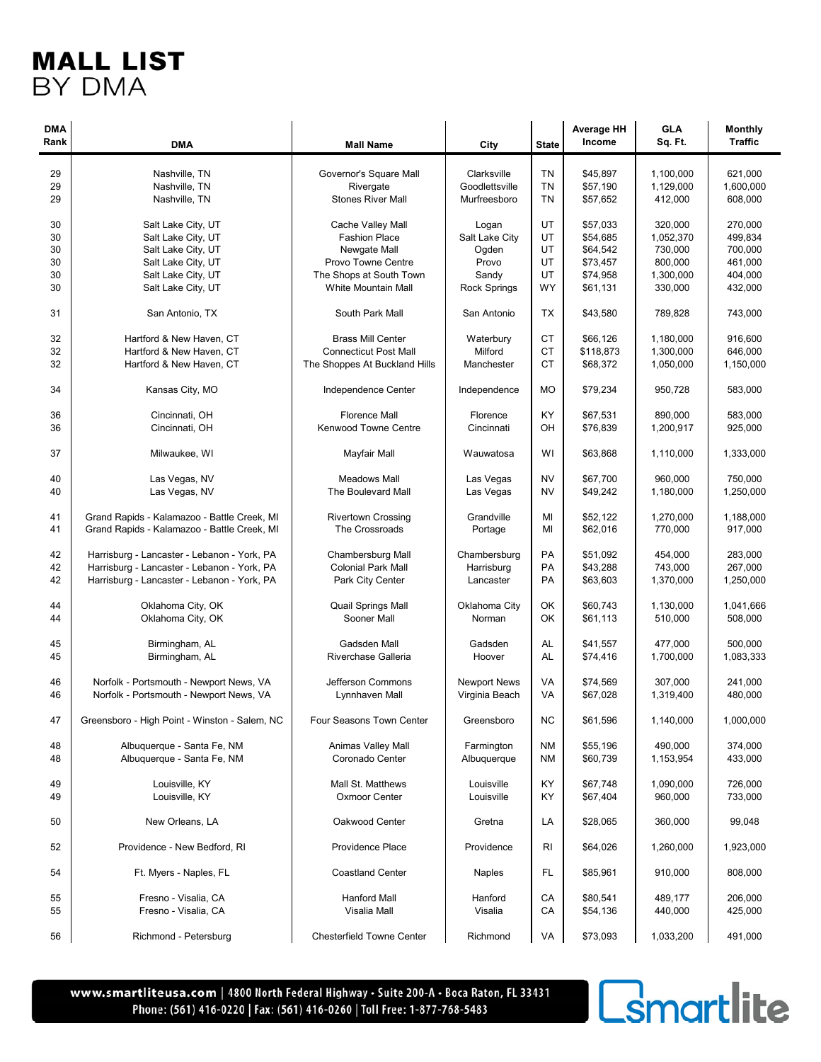| <b>DMA</b><br>Rank | <b>DMA</b>                                    | <b>Mall Name</b>              | City                | <b>State</b> | <b>Average HH</b><br>Income | <b>GLA</b><br>Sq. Ft. | <b>Monthly</b><br><b>Traffic</b> |
|--------------------|-----------------------------------------------|-------------------------------|---------------------|--------------|-----------------------------|-----------------------|----------------------------------|
|                    |                                               |                               |                     |              |                             |                       |                                  |
| 29                 | Nashville, TN                                 | Governor's Square Mall        | Clarksville         | <b>TN</b>    | \$45,897                    | 1,100,000             | 621,000                          |
| 29                 | Nashville, TN                                 | Rivergate                     | Goodlettsville      | <b>TN</b>    | \$57,190                    | 1,129,000             | 1,600,000                        |
| 29                 | Nashville, TN                                 | <b>Stones River Mall</b>      | Murfreesboro        | TN           | \$57,652                    | 412,000               | 608,000                          |
| 30                 | Salt Lake City, UT                            | Cache Valley Mall             | Logan               | UT           | \$57,033                    | 320,000               | 270,000                          |
| 30                 | Salt Lake City, UT                            | <b>Fashion Place</b>          | Salt Lake City      | UT           | \$54,685                    | 1,052,370             | 499,834                          |
| 30                 | Salt Lake City, UT                            | Newgate Mall                  | Ogden               | UT           | \$64,542                    | 730,000               | 700,000                          |
| 30                 | Salt Lake City, UT                            | Provo Towne Centre            | Provo               | UT           | \$73,457                    | 800,000               | 461,000                          |
| 30                 | Salt Lake City, UT                            | The Shops at South Town       | Sandy               | UT           | \$74,958                    | 1,300,000             | 404,000                          |
| 30                 | Salt Lake City, UT                            | White Mountain Mall           | Rock Springs        | <b>WY</b>    | \$61,131                    | 330,000               | 432,000                          |
| 31                 | San Antonio, TX                               | South Park Mall               | San Antonio         | ТX           | \$43,580                    | 789,828               | 743,000                          |
| 32                 | Hartford & New Haven, CT                      | <b>Brass Mill Center</b>      | Waterbury           | <b>CT</b>    | \$66,126                    | 1,180,000             | 916,600                          |
| 32                 | Hartford & New Haven, CT                      | <b>Connecticut Post Mall</b>  | Milford             | <b>CT</b>    | \$118,873                   | 1,300,000             | 646,000                          |
| 32                 | Hartford & New Haven, CT                      | The Shoppes At Buckland Hills | Manchester          | <b>CT</b>    | \$68,372                    | 1,050,000             | 1,150,000                        |
| 34                 | Kansas City, MO                               | Independence Center           | Independence        | <b>MO</b>    | \$79,234                    | 950,728               | 583,000                          |
|                    |                                               | <b>Florence Mall</b>          |                     |              |                             |                       |                                  |
| 36                 | Cincinnati, OH                                |                               | Florence            | KY           | \$67,531                    | 890,000               | 583,000                          |
| 36                 | Cincinnati, OH                                | <b>Kenwood Towne Centre</b>   | Cincinnati          | OH           | \$76,839                    | 1,200,917             | 925,000                          |
| 37                 | Milwaukee, WI                                 | Mayfair Mall                  | Wauwatosa           | WI           | \$63.868                    | 1,110,000             | 1,333,000                        |
| 40                 | Las Vegas, NV                                 | <b>Meadows Mall</b>           | Las Vegas           | <b>NV</b>    | \$67.700                    | 960.000               | 750,000                          |
| 40                 | Las Vegas, NV                                 | The Boulevard Mall            | Las Vegas           | <b>NV</b>    | \$49,242                    | 1,180,000             | 1,250,000                        |
|                    |                                               |                               |                     |              |                             |                       |                                  |
| 41                 | Grand Rapids - Kalamazoo - Battle Creek, MI   | <b>Rivertown Crossing</b>     | Grandville          | MI           | \$52,122                    | 1,270,000             | 1,188,000                        |
| 41                 | Grand Rapids - Kalamazoo - Battle Creek, MI   | The Crossroads                | Portage             | МI           | \$62,016                    | 770,000               | 917,000                          |
| 42                 | Harrisburg - Lancaster - Lebanon - York, PA   | Chambersburg Mall             | Chambersburg        | PA           | \$51,092                    | 454,000               | 283,000                          |
| 42                 | Harrisburg - Lancaster - Lebanon - York, PA   | <b>Colonial Park Mall</b>     | Harrisburg          | PA           | \$43,288                    | 743,000               | 267,000                          |
| 42                 | Harrisburg - Lancaster - Lebanon - York, PA   | Park City Center              | Lancaster           | PA           | \$63,603                    | 1,370,000             | 1,250,000                        |
|                    |                                               |                               |                     |              |                             |                       |                                  |
| 44                 | Oklahoma City, OK                             | Quail Springs Mall            | Oklahoma City       | OK           | \$60,743                    | 1,130,000             | 1,041,666                        |
| 44                 | Oklahoma City, OK                             | Sooner Mall                   | Norman              | OK           | \$61,113                    | 510,000               | 508,000                          |
| 45                 | Birmingham, AL                                | Gadsden Mall                  | Gadsden             | AL           | \$41.557                    | 477.000               | 500,000                          |
| 45                 | Birmingham, AL                                | Riverchase Galleria           | Hoover              | AL           | \$74,416                    | 1,700,000             | 1,083,333                        |
|                    |                                               |                               |                     |              |                             |                       |                                  |
| 46                 | Norfolk - Portsmouth - Newport News, VA       | Jefferson Commons             | <b>Newport News</b> | VA           | \$74,569                    | 307,000               | 241.000                          |
| 46                 | Norfolk - Portsmouth - Newport News, VA       | Lynnhaven Mall                | Virginia Beach      | VA           | \$67,028                    | 1,319,400             | 480,000                          |
| 47                 | Greensboro - High Point - Winston - Salem, NC | Four Seasons Town Center      | Greensboro          | NC           | \$61,596                    | 1,140,000             | 1,000,000                        |
| 48                 | Albuquerque - Santa Fe, NM                    | Animas Valley Mall            | Farmington          | <b>NM</b>    | \$55,196                    | 490,000               | 374,000                          |
| 48                 | Albuquerque - Santa Fe, NM                    | Coronado Center               | Albuquerque         | ΝM           | \$60,739                    | 1,153,954             | 433,000                          |
|                    |                                               |                               |                     |              |                             |                       |                                  |
| 49                 | Louisville, KY                                | Mall St. Matthews             | Louisville          | ΚY           | \$67,748                    | 1,090,000             | 726,000                          |
| 49                 | Louisville, KY                                | <b>Oxmoor Center</b>          | Louisville          | ΚY           | \$67,404                    | 960,000               | 733,000                          |
| 50                 | New Orleans, LA                               | Oakwood Center                | Gretna              | LA           | \$28,065                    | 360,000               | 99,048                           |
| 52                 | Providence - New Bedford, RI                  | Providence Place              | Providence          | RI           | \$64,026                    | 1,260,000             | 1,923,000                        |
| 54                 | Ft. Myers - Naples, FL                        | <b>Coastland Center</b>       | <b>Naples</b>       | FL           | \$85,961                    | 910,000               | 808,000                          |
| 55                 | Fresno - Visalia, CA                          | <b>Hanford Mall</b>           | Hanford             | CA           | \$80,541                    | 489,177               | 206,000                          |
| 55                 | Fresno - Visalia, CA                          | Visalia Mall                  | Visalia             | CA           | \$54,136                    | 440,000               | 425,000                          |
|                    |                                               |                               |                     |              |                             |                       |                                  |
| 56                 | Richmond - Petersburg                         | Chesterfield Towne Center     | Richmond            | VA           | \$73,093                    | 1,033,200             | 491,000                          |

www.smartliteusa.com | 4800 North Federal Highway · Suite 200-A · Boca Raton, FL 33431 Phone: (561) 416-0220 | Fax: (561) 416-0260 | Toll Free: 1-877-768-5483

# **C**smartlite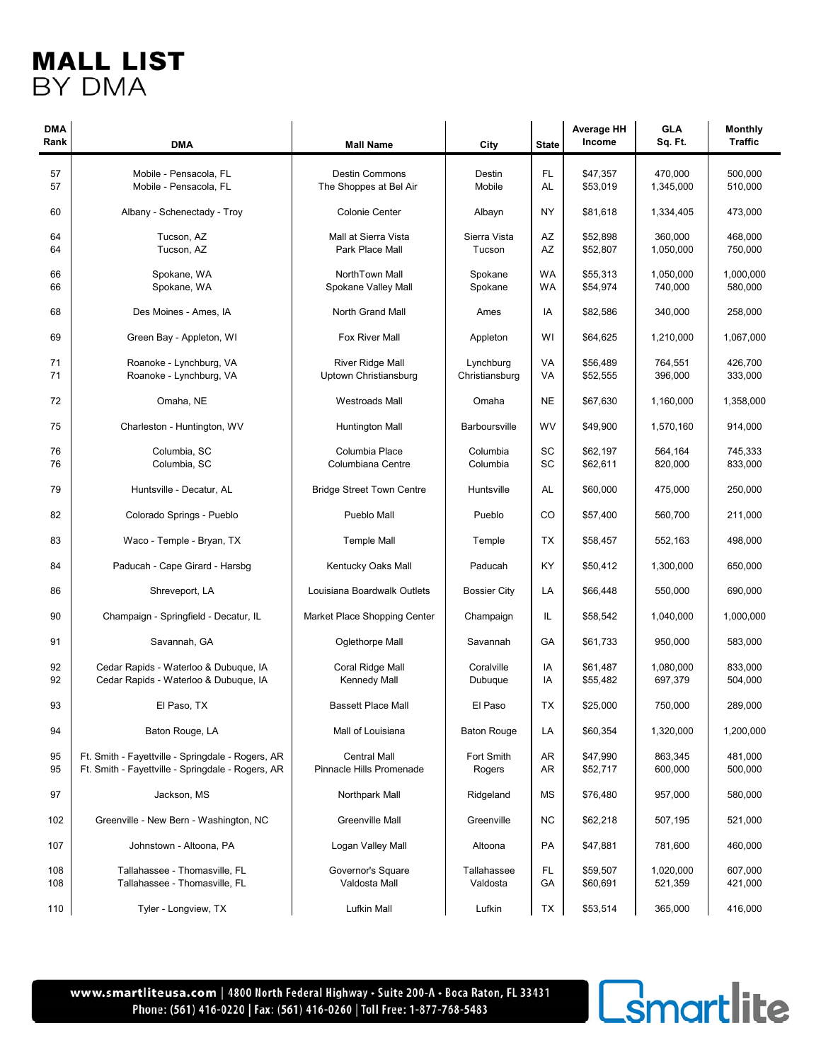| <b>DMA</b><br>Rank | <b>DMA</b>                                        | <b>Mall Name</b>                      | City                 | <b>State</b> | <b>Average HH</b><br>Income | <b>GLA</b><br>Sq. Ft. | <b>Monthly</b><br><b>Traffic</b> |
|--------------------|---------------------------------------------------|---------------------------------------|----------------------|--------------|-----------------------------|-----------------------|----------------------------------|
|                    |                                                   |                                       |                      |              |                             |                       |                                  |
| 57                 | Mobile - Pensacola, FL                            | <b>Destin Commons</b>                 | Destin               | FL           | \$47,357                    | 470,000               | 500,000                          |
| 57                 | Mobile - Pensacola, FL                            | The Shoppes at Bel Air                | Mobile               | AL           | \$53,019                    | 1,345,000             | 510,000                          |
|                    |                                                   |                                       |                      |              |                             |                       |                                  |
| 60                 | Albany - Schenectady - Troy                       | <b>Colonie Center</b>                 | Albayn               | <b>NY</b>    | \$81,618                    | 1,334,405             | 473,000                          |
|                    |                                                   |                                       |                      |              |                             |                       |                                  |
| 64                 | Tucson, AZ                                        | Mall at Sierra Vista                  | Sierra Vista         | AZ           | \$52,898                    | 360,000               | 468,000                          |
| 64                 | Tucson, AZ                                        | Park Place Mall                       | Tucson               | AZ           | \$52,807                    | 1,050,000             | 750,000                          |
| 66                 |                                                   |                                       |                      |              |                             |                       | 1.000.000                        |
| 66                 | Spokane, WA<br>Spokane, WA                        | NorthTown Mall<br>Spokane Valley Mall | Spokane<br>Spokane   | WA<br>WA     | \$55,313<br>\$54,974        | 1,050,000<br>740,000  | 580,000                          |
|                    |                                                   |                                       |                      |              |                             |                       |                                  |
| 68                 | Des Moines - Ames, IA                             | North Grand Mall                      | Ames                 | IA           | \$82,586                    | 340,000               | 258,000                          |
|                    |                                                   |                                       |                      |              |                             |                       |                                  |
| 69                 | Green Bay - Appleton, WI                          | Fox River Mall                        | Appleton             | WI           | \$64,625                    | 1,210,000             | 1,067,000                        |
|                    |                                                   |                                       |                      |              |                             |                       |                                  |
| 71                 | Roanoke - Lynchburg, VA                           | <b>River Ridge Mall</b>               | Lynchburg            | VA           | \$56,489                    | 764,551               | 426,700                          |
| 71                 | Roanoke - Lynchburg, VA                           | Uptown Christiansburg                 | Christiansburg       | VA           | \$52,555                    | 396,000               | 333,000                          |
| 72                 | Omaha, NE                                         | <b>Westroads Mall</b>                 | Omaha                | <b>NE</b>    |                             | 1.160.000             |                                  |
|                    |                                                   |                                       |                      |              | \$67,630                    |                       | 1,358,000                        |
| 75                 | Charleston - Huntington, WV                       | <b>Huntington Mall</b>                | <b>Barboursville</b> | WV           | \$49,900                    | 1,570,160             | 914,000                          |
|                    |                                                   |                                       |                      |              |                             |                       |                                  |
| 76                 | Columbia, SC                                      | Columbia Place                        | Columbia             | SC           | \$62,197                    | 564,164               | 745,333                          |
| 76                 | Columbia, SC                                      | Columbiana Centre                     | Columbia             | SC           | \$62,611                    | 820,000               | 833,000                          |
|                    |                                                   |                                       |                      |              |                             |                       |                                  |
| 79                 | Huntsville - Decatur, AL                          | <b>Bridge Street Town Centre</b>      | Huntsville           | AL           | \$60,000                    | 475,000               | 250,000                          |
| 82                 | Colorado Springs - Pueblo                         | Pueblo Mall                           | Pueblo               | CO           | \$57,400                    | 560,700               | 211,000                          |
|                    |                                                   |                                       |                      |              |                             |                       |                                  |
| 83                 | Waco - Temple - Bryan, TX                         | <b>Temple Mall</b>                    | Temple               | TX           | \$58,457                    | 552,163               | 498,000                          |
|                    |                                                   |                                       |                      |              |                             |                       |                                  |
| 84                 | Paducah - Cape Girard - Harsbg                    | Kentucky Oaks Mall                    | Paducah              | KY           | \$50,412                    | 1,300,000             | 650,000                          |
|                    |                                                   |                                       |                      |              |                             |                       |                                  |
| 86                 | Shreveport, LA                                    | Louisiana Boardwalk Outlets           | <b>Bossier City</b>  | LA           | \$66,448                    | 550,000               | 690,000                          |
| 90                 |                                                   |                                       |                      | IL           |                             |                       | 1,000,000                        |
|                    | Champaign - Springfield - Decatur, IL             | Market Place Shopping Center          | Champaign            |              | \$58,542                    | 1,040,000             |                                  |
| 91                 | Savannah, GA                                      | Oglethorpe Mall                       | Savannah             | GA           | \$61,733                    | 950,000               | 583.000                          |
|                    |                                                   |                                       |                      |              |                             |                       |                                  |
| 92                 | Cedar Rapids - Waterloo & Dubuque, IA             | Coral Ridge Mall                      | Coralville           | IA           | \$61,487                    | 1,080,000             | 833,000                          |
| 92                 | Cedar Rapids - Waterloo & Dubuque, IA             | <b>Kennedy Mall</b>                   | Dubuque              | IA           | \$55,482                    | 697,379               | 504,000                          |
|                    |                                                   |                                       |                      |              |                             |                       |                                  |
| 93                 | El Paso, TX                                       | <b>Bassett Place Mall</b>             | El Paso              | ТX           | \$25,000                    | 750,000               | 289,000                          |
|                    |                                                   | Mall of Louisiana                     |                      |              |                             |                       | 1,200,000                        |
| 94                 | Baton Rouge, LA                                   |                                       | <b>Baton Rouge</b>   | LA           | \$60,354                    | 1,320,000             |                                  |
| 95                 | Ft. Smith - Fayettville - Springdale - Rogers, AR | <b>Central Mall</b>                   | Fort Smith           | AR           | \$47,990                    | 863,345               | 481,000                          |
| 95                 | Ft. Smith - Fayettville - Springdale - Rogers, AR | Pinnacle Hills Promenade              | Rogers               | AR           | \$52,717                    | 600,000               | 500,000                          |
|                    |                                                   |                                       |                      |              |                             |                       |                                  |
| 97                 | Jackson, MS                                       | Northpark Mall                        | Ridgeland            | MS           | \$76,480                    | 957,000               | 580,000                          |
|                    |                                                   |                                       |                      |              |                             |                       |                                  |
| 102                | Greenville - New Bern - Washington, NC            | Greenville Mall                       | Greenville           | <b>NC</b>    | \$62,218                    | 507,195               | 521,000                          |
|                    |                                                   |                                       |                      |              |                             |                       |                                  |
| 107                | Johnstown - Altoona, PA                           | Logan Valley Mall                     | Altoona              | PA           | \$47,881                    | 781,600               | 460,000                          |
| 108                | Tallahassee - Thomasville, FL                     | Governor's Square                     | Tallahassee          | FL.          | \$59,507                    | 1,020,000             | 607,000                          |
| 108                | Tallahassee - Thomasville, FL                     | Valdosta Mall                         | Valdosta             | GA           | \$60,691                    | 521,359               | 421,000                          |
|                    |                                                   |                                       |                      |              |                             |                       |                                  |
| 110                | Tyler - Longview, TX                              | Lufkin Mall                           | Lufkin               | TX           | \$53,514                    | 365,000               | 416,000                          |

www.smartliteusa.com | 4800 North Federal Highway · Suite 200-A · Boca Raton, FL 33431 Phone: (561) 416-0220 | Fax: (561) 416-0260 | Toll Free: 1-877-768-5483

# **C**smartlite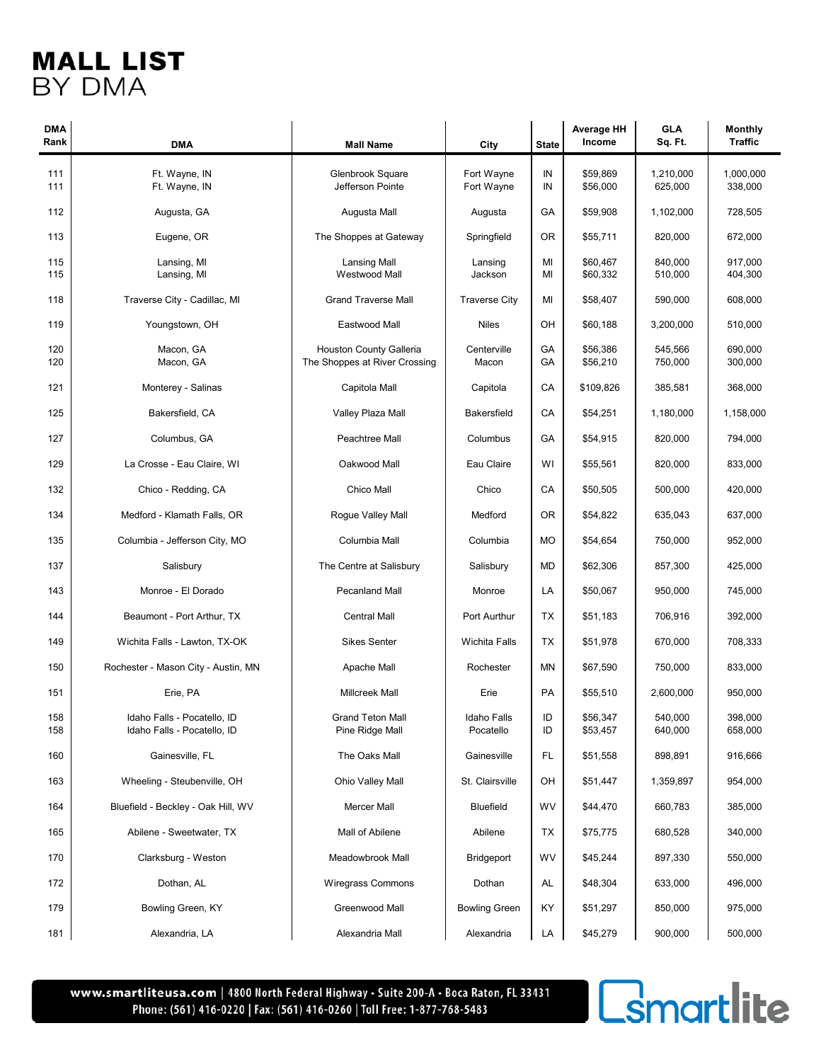| <b>DMA</b><br>Rank | <b>DMA</b>                                                 | <b>Mall Name</b>                           | City                     | <b>State</b> | <b>Average HH</b><br>Income | <b>GLA</b><br>Sq. Ft. | <b>Monthly</b><br><b>Traffic</b> |
|--------------------|------------------------------------------------------------|--------------------------------------------|--------------------------|--------------|-----------------------------|-----------------------|----------------------------------|
|                    |                                                            |                                            |                          |              |                             |                       |                                  |
| 111                | Ft. Wayne, IN                                              | Glenbrook Square                           | Fort Wayne               | IN           | \$59,869                    | 1,210,000             | 1,000,000                        |
| 111                | Ft. Wayne, IN                                              | Jefferson Pointe                           | Fort Wayne               | IN           | \$56,000                    | 625,000               | 338,000                          |
| 112                | Augusta, GA                                                | Augusta Mall                               | Augusta                  | GA           | \$59,908                    | 1,102,000             | 728,505                          |
| 113                | Eugene, OR                                                 | The Shoppes at Gateway                     | Springfield              | 0R           | \$55,711                    | 820,000               | 672,000                          |
| 115                | Lansing, MI                                                | <b>Lansing Mall</b>                        | Lansing                  | MI           | \$60,467                    | 840,000               | 917,000                          |
| 115                | Lansing, MI                                                | Westwood Mall                              | Jackson                  | MI           | \$60,332                    | 510,000               | 404,300                          |
| 118                | Traverse City - Cadillac, MI                               | <b>Grand Traverse Mall</b>                 | <b>Traverse City</b>     | MI           | \$58,407                    | 590,000               | 608,000                          |
| 119                | Youngstown, OH                                             | Eastwood Mall                              | <b>Niles</b>             | OH           | \$60,188                    | 3,200,000             | 510,000                          |
| 120                | Macon, GA                                                  | Houston County Galleria                    | Centerville              | GA           | \$56,386                    | 545,566               | 690,000                          |
| 120                | Macon, GA                                                  | The Shoppes at River Crossing              | Macon                    | GA           | \$56,210                    | 750,000               | 300,000                          |
| 121                | Monterey - Salinas                                         | Capitola Mall                              | Capitola                 | CA           | \$109,826                   | 385,581               | 368,000                          |
| 125                | Bakersfield, CA                                            | Valley Plaza Mall                          | <b>Bakersfield</b>       | CA           | \$54,251                    | 1,180,000             | 1,158,000                        |
| 127                | Columbus, GA                                               | Peachtree Mall                             | Columbus                 | GA           | \$54,915                    | 820,000               | 794,000                          |
| 129                | La Crosse - Eau Claire, WI                                 | Oakwood Mall                               | Eau Claire               | WI           | \$55,561                    | 820,000               | 833,000                          |
| 132                | Chico - Redding, CA                                        | Chico Mall                                 | Chico                    | CA           | \$50,505                    | 500,000               | 420,000                          |
| 134                | Medford - Klamath Falls, OR                                | Rogue Valley Mall                          | Medford                  | <b>OR</b>    | \$54,822                    | 635,043               | 637,000                          |
| 135                | Columbia - Jefferson City, MO                              | Columbia Mall                              | Columbia                 | <b>MO</b>    | \$54,654                    | 750,000               | 952,000                          |
| 137                | Salisbury                                                  | The Centre at Salisbury                    | Salisbury                | MD           | \$62,306                    | 857,300               | 425,000                          |
| 143                | Monroe - El Dorado                                         | <b>Pecanland Mall</b>                      | Monroe                   | LA           | \$50,067                    | 950,000               | 745,000                          |
| 144                | Beaumont - Port Arthur, TX                                 | <b>Central Mall</b>                        | Port Aurthur             | TX           | \$51,183                    | 706,916               | 392,000                          |
| 149                | Wichita Falls - Lawton, TX-OK                              | <b>Sikes Senter</b>                        | <b>Wichita Falls</b>     | TX           | \$51,978                    | 670,000               | 708,333                          |
| 150                | Rochester - Mason City - Austin, MN                        | Apache Mall                                | Rochester                | <b>MN</b>    | \$67,590                    | 750,000               | 833,000                          |
| 151                | Erie, PA                                                   | <b>Millcreek Mall</b>                      | Erie                     | <b>PA</b>    | \$55,510                    | 2,600,000             | 950,000                          |
| 158<br>158         | Idaho Falls - Pocatello, ID<br>Idaho Falls - Pocatello, ID | <b>Grand Teton Mall</b><br>Pine Ridge Mall | Idaho Falls<br>Pocatello | ID<br>ID     | \$56,347<br>\$53,457        | 540,000<br>640,000    | 398.000<br>658,000               |
| 160                | Gainesville, FL                                            | The Oaks Mall                              | Gainesville              | FL.          | \$51,558                    | 898,891               | 916,666                          |
| 163                | Wheeling - Steubenville, OH                                | Ohio Valley Mall                           | St. Clairsville          | OH           | \$51,447                    | 1,359,897             | 954,000                          |
| 164                | Bluefield - Beckley - Oak Hill, WV                         | Mercer Mall                                | <b>Bluefield</b>         | WV           | \$44,470                    | 660,783               | 385,000                          |
| 165                | Abilene - Sweetwater, TX                                   | Mall of Abilene                            | Abilene                  | TX           | \$75,775                    | 680,528               | 340,000                          |
| 170                | Clarksburg - Weston                                        | Meadowbrook Mall                           | <b>Bridgeport</b>        | WV           | \$45,244                    | 897,330               | 550,000                          |
| 172                | Dothan, AL                                                 | <b>Wiregrass Commons</b>                   | Dothan                   | AL           | \$48,304                    | 633,000               | 496,000                          |
| 179                | Bowling Green, KY                                          | Greenwood Mall                             | <b>Bowling Green</b>     | KY           | \$51,297                    | 850,000               | 975,000                          |
| 181                | Alexandria, LA                                             | Alexandria Mall                            | Alexandria               | LA           | \$45,279                    | 900,000               | 500,000                          |

www.smartliteusa.com | 4800 North Federal Highway · Suite 200-A · Boca Raton, FL 33431 Phone: (561) 416-0220 | Fax: (561) 416-0260 | Toll Free: 1-877-768-5483